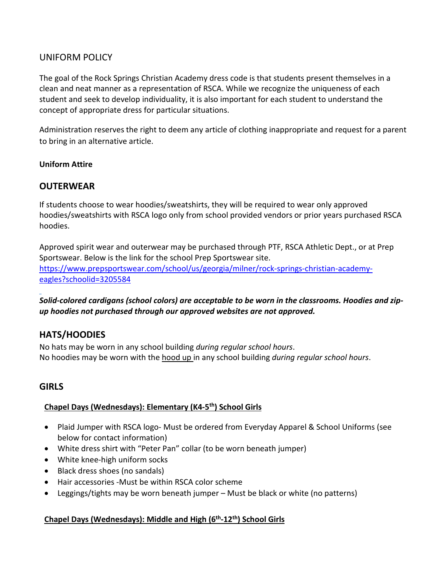## UNIFORM POLICY

The goal of the Rock Springs Christian Academy dress code is that students present themselves in a clean and neat manner as a representation of RSCA. While we recognize the uniqueness of each student and seek to develop individuality, it is also important for each student to understand the concept of appropriate dress for particular situations.

Administration reserves the right to deem any article of clothing inappropriate and request for a parent to bring in an alternative article.

### **Uniform Attire**

## **OUTERWEAR**

If students choose to wear hoodies/sweatshirts, they will be required to wear only approved hoodies/sweatshirts with RSCA logo only from school provided vendors or prior years purchased RSCA hoodies.

Approved spirit wear and outerwear may be purchased through PTF, RSCA Athletic Dept., or at Prep Sportswear. Below is the link for the school Prep Sportswear site. [https://www.prepsportswear.com/school/us/georgia/milner/rock-springs-christian-academy](https://www.prepsportswear.com/school/us/georgia/milner/rock-springs-christian-academy-eagles?schoolid=3205584)[eagles?schoolid=3205584](https://www.prepsportswear.com/school/us/georgia/milner/rock-springs-christian-academy-eagles?schoolid=3205584)

*Solid-colored cardigans (school colors) are acceptable to be worn in the classrooms. Hoodies and zipup hoodies not purchased through our approved websites are not approved.*

# **HATS/HOODIES**

No hats may be worn in any school building *during regular school hours*. No hoodies may be worn with the hood up in any school building *during regular school hours*.

# **GIRLS**

### **Chapel Days (Wednesdays): Elementary (K4-5th) School Girls**

- Plaid Jumper with RSCA logo- Must be ordered from Everyday Apparel & School Uniforms (see below for contact information)
- White dress shirt with "Peter Pan" collar (to be worn beneath jumper)
- White knee-high uniform socks
- Black dress shoes (no sandals)
- Hair accessories -Must be within RSCA color scheme
- Leggings/tights may be worn beneath jumper Must be black or white (no patterns)

## **Chapel Days (Wednesdays): Middle and High (6th-12th) School Girls**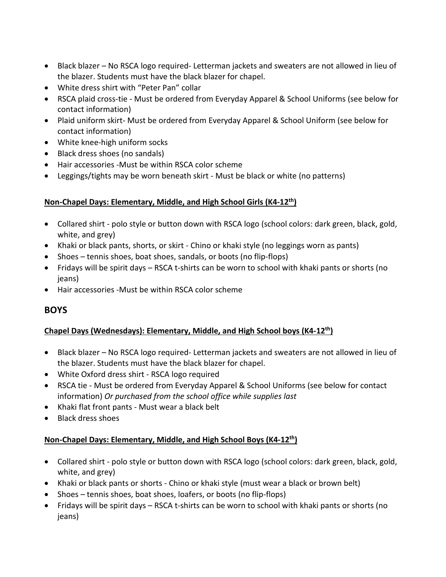- Black blazer No RSCA logo required- Letterman jackets and sweaters are not allowed in lieu of the blazer. Students must have the black blazer for chapel.
- White dress shirt with "Peter Pan" collar
- RSCA plaid cross-tie Must be ordered from Everyday Apparel & School Uniforms (see below for contact information)
- Plaid uniform skirt- Must be ordered from Everyday Apparel & School Uniform (see below for contact information)
- White knee-high uniform socks
- Black dress shoes (no sandals)
- Hair accessories -Must be within RSCA color scheme
- Leggings/tights may be worn beneath skirt Must be black or white (no patterns)

### **Non-Chapel Days: Elementary, Middle, and High School Girls (K4-12th)**

- Collared shirt polo style or button down with RSCA logo (school colors: dark green, black, gold, white, and grey)
- Khaki or black pants, shorts, or skirt Chino or khaki style (no leggings worn as pants)
- Shoes tennis shoes, boat shoes, sandals, or boots (no flip-flops)
- Fridays will be spirit days RSCA t-shirts can be worn to school with khaki pants or shorts (no jeans)
- Hair accessories -Must be within RSCA color scheme

# **BOYS**

## **Chapel Days (Wednesdays): Elementary, Middle, and High School boys (K4-12th)**

- Black blazer No RSCA logo required- Letterman jackets and sweaters are not allowed in lieu of the blazer. Students must have the black blazer for chapel.
- White Oxford dress shirt RSCA logo required
- RSCA tie Must be ordered from Everyday Apparel & School Uniforms (see below for contact information) *Or purchased from the school office while supplies last*
- Khaki flat front pants Must wear a black belt
- Black dress shoes

## **Non-Chapel Days: Elementary, Middle, and High School Boys (K4-12th)**

- Collared shirt polo style or button down with RSCA logo (school colors: dark green, black, gold, white, and grey)
- Khaki or black pants or shorts Chino or khaki style (must wear a black or brown belt)
- Shoes tennis shoes, boat shoes, loafers, or boots (no flip-flops)
- Fridays will be spirit days RSCA t-shirts can be worn to school with khaki pants or shorts (no jeans)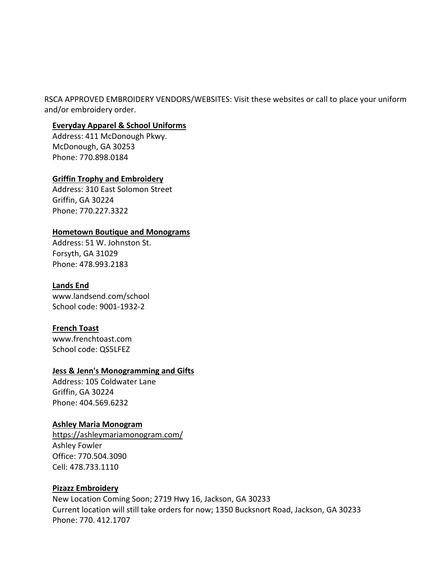RSCA APPROVED EMBROIDERY VENDORS/WEBSITES: Visit these websites or call to place your uniform and/or embroidery order.

#### **Everyday Apparel & School Uniforms**

Address: 411 McDonough Pkwy. McDonough, GA 30253 Phone: 770.898.0184

### **Griffin Trophy and Embroidery**

Address: 310 East Solomon Street Griffin, GA 30224 Phone: 770.227.3322

### **Hometown Boutique and Monograms**

Address: 51 W. Johnston St. Forsyth, GA 31029 Phone: 478.993.2183

### **Lands End**

www.landsend.com/school School code: 9001-1932-2

### **French Toast**

www.frenchtoast.com School code: QS5LFEZ

### **[Jess & Jenn's Monogramming and Gifts](https://www.facebook.com/jessandjenns2014/?fref=nf)**

Address: 105 Coldwater Lane Griffin, GA 30224 Phone: 404.569.6232

### **Ashley Maria Monogram**

<https://ashleymariamonogram.com/> Ashley Fowler Office: 770.504.3090 Cell: 478.733.1110

### **Pizazz Embroidery**

New Location Coming Soon; 2719 Hwy 16, Jackson, GA 30233 Current location will still take orders for now; 1350 Bucksnort Road, Jackson, GA 30233 Phone: 770. [412.1707](https://www.google.com/search?q=pizazz+embroidery+Jackson+ga&rlz=1C1EJFC_enUS809US809&oq=Pizazz&aqs=chrome.0.69i59l2j0i512j46i175i199i512j0i512l2j69i60l2.1211j0j7&sourceid=chrome&ie=UTF-8)